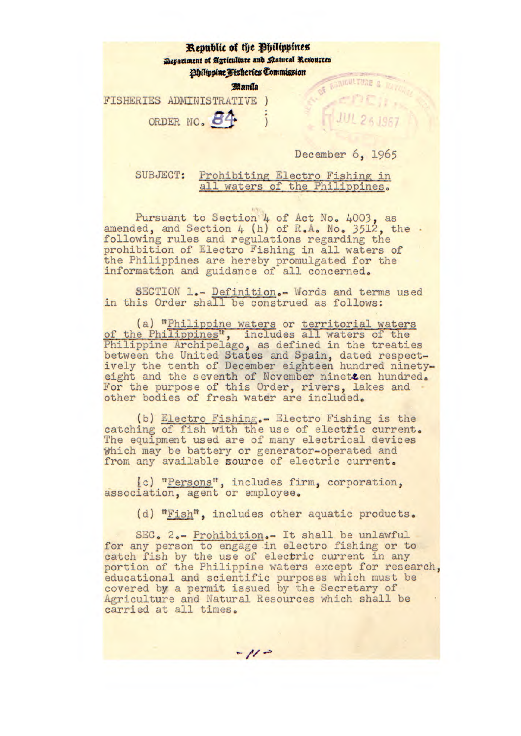## **Republic of the Bhilippines Monationent of Agriculture and Ratural Resources** *follippine Fisheries Commission* BORIGHTURE **anaa**  FISHERIES ADMINISTRATIVE ORDER NO. 84 December 6, 1965

SUBJECT: Prohibiting Electro Fishing in all waters of the Philippines.

Pursuant to Section  $4$  of Act No.  $4003$ , as amended, and Section 4 (h) of R.A. No. 3512, the. following rules and regulations regarding the prohibition of Electro Fishing in all waters of the Philippines are hereby promulgated for the information and guidance of all concerned.

SECTION 1.- Definition.- Words and terms used in this Order shall be construed as follows:

(a) "Philippine waters or territorial waters of the Philippines", includes all waters of the Philippine Archipelago, as defined in the treaties between the United States and Spain, dated respectively the tenth of December eighteen hundred ninetyeight and the seventh of November ninetcen hundred. For the purpose of this Order, rivers, lakes and other bodies of fresh water are included.

(b) Electro Fishing.- Electro Fishing is the catching of fish with the use of electric current. The equipment used are of many electrical devices Which may be battery or generator-operated and from any available source of electric current.

Ic) "Persons", includes firm, corporation, association, agent or employee.

 $-11 -$ 

(d) "Fish", includes other aquatic products.

SEC. 2.- Prohibition.- It shall be unlawful for any person to engage in electro fishing or to catch fish by the use of electric current in any portion of the Philippine waters except for research, educational and scientific purposes which must be covered by a permit issued by the Secretary of Agriculture and Natural Resources which shall be carried at all times,